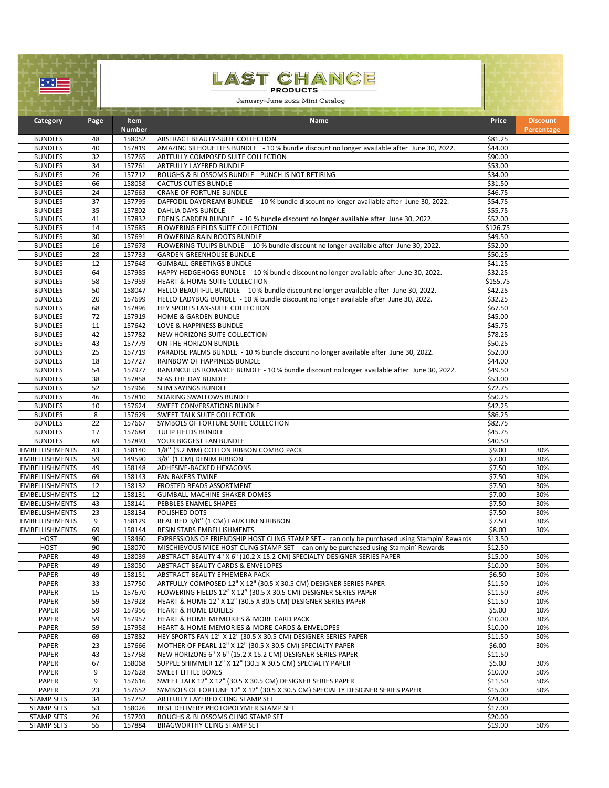| ু∗়া                                           |                                                   |                  | LAST CHANCE                                                                                                                      |                    |                 |  |
|------------------------------------------------|---------------------------------------------------|------------------|----------------------------------------------------------------------------------------------------------------------------------|--------------------|-----------------|--|
|                                                | <b>PRODUCTS</b><br>January-June 2022 Mini Catalog |                  |                                                                                                                                  |                    |                 |  |
|                                                |                                                   |                  |                                                                                                                                  |                    |                 |  |
| Category                                       | Page                                              | <b>Item</b>      | Name                                                                                                                             | Price              | <b>Discount</b> |  |
|                                                |                                                   | <b>Number</b>    |                                                                                                                                  |                    | Percentage      |  |
| <b>BUNDLES</b>                                 | 48                                                | 158052           | ABSTRACT BEAUTY-SUITE COLLECTION                                                                                                 | \$81.25            |                 |  |
| <b>BUNDLES</b><br><b>BUNDLES</b>               | 40<br>32                                          | 157819<br>157765 | AMAZING SILHOUETTES BUNDLE - 10 % bundle discount no longer available after June 30, 2022.<br>ARTFULLY COMPOSED SUITE COLLECTION | \$44.00<br>\$90.00 |                 |  |
| <b>BUNDLES</b>                                 | 34                                                | 157761           | ARTFULLY LAYERED BUNDLE                                                                                                          | \$53.00            |                 |  |
| <b>BUNDLES</b>                                 | 26                                                | 157712           | BOUGHS & BLOSSOMS BUNDLE - PUNCH IS NOT RETIRING                                                                                 | \$34.00            |                 |  |
| <b>BUNDLES</b>                                 | 66                                                | 158058           | <b>CACTUS CUTIES BUNDLE</b>                                                                                                      | \$31.50            |                 |  |
| <b>BUNDLES</b>                                 | 24                                                | 157663           | <b>CRANE OF FORTUNE BUNDLE</b>                                                                                                   | \$46.75            |                 |  |
| <b>BUNDLES</b><br><b>BUNDLES</b>               | 37<br>35                                          | 157795<br>157802 | DAFFODIL DAYDREAM BUNDLE - 10 % bundle discount no longer available after June 30, 2022.<br>DAHLIA DAYS BUNDLE                   | \$54.75<br>\$55.75 |                 |  |
| <b>BUNDLES</b>                                 | 41                                                | 157832           | EDEN'S GARDEN BUNDLE - 10 % bundle discount no longer available after June 30, 2022.                                             | \$52.00            |                 |  |
| <b>BUNDLES</b>                                 | 14                                                | 157685           | FLOWERING FIELDS SUITE COLLECTION                                                                                                | \$126.75           |                 |  |
| <b>BUNDLES</b>                                 | 30                                                | 157691           | FLOWERING RAIN BOOTS BUNDLE                                                                                                      | \$49.50            |                 |  |
| <b>BUNDLES</b>                                 | 16                                                | 157678           | FLOWERING TULIPS BUNDLE - 10 % bundle discount no longer available after June 30, 2022.                                          | \$52.00            |                 |  |
| <b>BUNDLES</b><br><b>BUNDLES</b>               | 28<br>12                                          | 157733<br>157648 | <b>GARDEN GREENHOUSE BUNDLE</b><br><b>GUMBALL GREETINGS BUNDLE</b>                                                               | \$50.25<br>\$41.25 |                 |  |
| <b>BUNDLES</b>                                 | 64                                                | 157985           | HAPPY HEDGEHOGS BUNDLE - 10 % bundle discount no longer available after June 30, 2022.                                           | \$32.25            |                 |  |
| <b>BUNDLES</b>                                 | 58                                                | 157959           | HEART & HOME-SUITE COLLECTION                                                                                                    | \$155.75           |                 |  |
| <b>BUNDLES</b>                                 | 50                                                | 158047           | HELLO BEAUTIFUL BUNDLE - 10 % bundle discount no longer available after June 30, 2022.                                           | \$42.25            |                 |  |
| <b>BUNDLES</b>                                 | 20                                                | 157699           | HELLO LADYBUG BUNDLE - 10 % bundle discount no longer available after June 30, 2022.                                             | \$32.25            |                 |  |
| <b>BUNDLES</b><br><b>BUNDLES</b>               | 68<br>72                                          | 157896<br>157919 | HEY SPORTS FAN-SUITE COLLECTION<br>HOME & GARDEN BUNDLE                                                                          | \$67.50<br>\$45.00 |                 |  |
| <b>BUNDLES</b>                                 | 11                                                | 157642           | LOVE & HAPPINESS BUNDLE                                                                                                          | \$45.75            |                 |  |
| <b>BUNDLES</b>                                 | 42                                                | 157782           | NEW HORIZONS SUITE COLLECTION                                                                                                    | \$78.25            |                 |  |
| <b>BUNDLES</b>                                 | 43                                                | 157779           | ON THE HORIZON BUNDLE                                                                                                            | \$50.25            |                 |  |
| <b>BUNDLES</b>                                 | $\overline{25}$                                   | 157719           | PARADISE PALMS BUNDLE - 10 % bundle discount no longer available after June 30, 2022.                                            | \$52.00            |                 |  |
| <b>BUNDLES</b>                                 | 18<br>54                                          | 157727<br>157977 | RAINBOW OF HAPPINESS BUNDLE<br>RANUNCULUS ROMANCE BUNDLE - 10 % bundle discount no longer available after June 30, 2022.         | \$44.00            |                 |  |
| <b>BUNDLES</b><br><b>BUNDLES</b>               | 38                                                | 157858           | SEAS THE DAY BUNDLE                                                                                                              | \$49.50<br>\$53.00 |                 |  |
| <b>BUNDLES</b>                                 | 52                                                | 157966           | SLIM SAYINGS BUNDLE                                                                                                              | \$72.75            |                 |  |
| <b>BUNDLES</b>                                 | 46                                                | 157810           | SOARING SWALLOWS BUNDLE                                                                                                          | \$50.25            |                 |  |
| <b>BUNDLES</b>                                 | 10                                                | 157624           | SWEET CONVERSATIONS BUNDLE                                                                                                       | \$42.25            |                 |  |
| <b>BUNDLES</b>                                 | 8<br>22                                           | 157629<br>157667 | SWEET TALK SUITE COLLECTION                                                                                                      | \$86.25<br>\$82.75 |                 |  |
| <b>BUNDLES</b><br><b>BUNDLES</b>               | 17                                                | 157684           | SYMBOLS OF FORTUNE SUITE COLLECTION<br>TULIP FIELDS BUNDLE                                                                       | \$45.75            |                 |  |
| <b>BUNDLES</b>                                 | 69                                                | 157893           | YOUR BIGGEST FAN BUNDLE                                                                                                          | \$40.50            |                 |  |
| <b>EMBELLISHMENTS</b>                          | 43                                                | 158140           | 1/8" (3.2 MM) COTTON RIBBON COMBO PACK                                                                                           | \$9.00             | 30%             |  |
| <b>EMBELLISHMENTS</b>                          | 59                                                | 149590           | 3/8" (1 CM) DENIM RIBBON                                                                                                         | \$7.00             | 30%             |  |
| <b>EMBELLISHMENTS</b>                          | 49<br>69                                          | 158148<br>158143 | ADHESIVE-BACKED HEXAGONS<br><b>FAN BAKERS TWINE</b>                                                                              | \$7.50             | 30%<br>30%      |  |
| <b>EMBELLISHMENTS</b><br><b>EMBELLISHMENTS</b> | 12                                                | 158132           | <b>FROSTED BEADS ASSORTMENT</b>                                                                                                  | \$7.50<br>\$7.50   | 30%             |  |
| <b>EMBELLISHMENTS</b>                          | 12                                                | 158131           | <b>GUMBALL MACHINE SHAKER DOMES</b>                                                                                              | \$7.00             | 30%             |  |
| EMBELLISHMENTS                                 | 43                                                | 158141           | PEBBLES ENAMEL SHAPES                                                                                                            | \$7.50             | 30%             |  |
| <b>EMBELLISHMENTS</b>                          | 23                                                | 158134           | POLISHED DOTS                                                                                                                    | \$7.50             | 30%             |  |
| <b>EMBELLISHMENTS</b><br><b>EMBELLISHMENTS</b> | 9                                                 | 158129           | REAL RED 3/8" (1 CM) FAUX LINEN RIBBON                                                                                           | \$7.50             | 30%             |  |
| <b>HOST</b>                                    | 69<br>90                                          | 158144<br>158460 | RESIN STARS EMBELLISHMENTS<br>EXPRESSIONS OF FRIENDSHIP HOST CLING STAMP SET - can only be purchased using Stampin' Rewards      | \$8.00<br>\$13.50  | 30%             |  |
| <b>HOST</b>                                    | 90                                                | 158070           | MISCHIEVOUS MICE HOST CLING STAMP SET - can only be purchased using Stampin' Rewards                                             | \$12.50            |                 |  |
| PAPER                                          | 49                                                | 158039           | ABSTRACT BEAUTY 4" X 6" (10.2 X 15.2 CM) SPECIALTY DESIGNER SERIES PAPER                                                         | \$15.00            | 50%             |  |
| PAPER                                          | 49                                                | 158050           | ABSTRACT BEAUTY CARDS & ENVELOPES                                                                                                | \$10.00            | 50%             |  |
| PAPER<br>PAPER                                 | 49<br>33                                          | 158151<br>157750 | ABSTRACT BEAUTY EPHEMERA PACK<br>ARTFULLY COMPOSED 12" X 12" (30.5 X 30.5 CM) DESIGNER SERIES PAPER                              | \$6.50<br>\$11.50  | 30%<br>10%      |  |
| PAPER                                          | 15                                                | 157670           | FLOWERING FIELDS 12" X 12" (30.5 X 30.5 CM) DESIGNER SERIES PAPER                                                                | \$11.50            | 30%             |  |
| PAPER                                          | 59                                                | 157928           | HEART & HOME 12" X 12" (30.5 X 30.5 CM) DESIGNER SERIES PAPER                                                                    | \$11.50            | 10%             |  |
| PAPER                                          | 59                                                | 157956           | <b>HEART &amp; HOME DOILIES</b>                                                                                                  | \$5.00             | 10%             |  |
| PAPER                                          | 59                                                | 157957           | HEART & HOME MEMORIES & MORE CARD PACK                                                                                           | \$10.00            | 30%             |  |
| PAPER                                          | 59                                                | 157958           | HEART & HOME MEMORIES & MORE CARDS & ENVELOPES                                                                                   | \$10.00            | 10%             |  |
| PAPER<br>PAPER                                 | 69<br>23                                          | 157882<br>157666 | HEY SPORTS FAN 12" X 12" (30.5 X 30.5 CM) DESIGNER SERIES PAPER<br>MOTHER OF PEARL 12" X 12" (30.5 X 30.5 CM) SPECIALTY PAPER    | \$11.50<br>\$6.00  | 50%<br>30%      |  |
| PAPER                                          | 43                                                | 157768           | NEW HORIZONS 6" X 6" (15.2 X 15.2 CM) DESIGNER SERIES PAPER                                                                      | \$11.50            |                 |  |
| PAPER                                          | 67                                                | 158068           | SUPPLE SHIMMER 12" X 12" (30.5 X 30.5 CM) SPECIALTY PAPER                                                                        | \$5.00             | 30%             |  |
| PAPER                                          | 9                                                 | 157628           | <b>SWEET LITTLE BOXES</b>                                                                                                        | \$10.00            | 50%             |  |
| PAPER                                          | 9                                                 | 157616           | SWEET TALK 12" X 12" (30.5 X 30.5 CM) DESIGNER SERIES PAPER                                                                      | \$11.50            | 50%             |  |
| PAPER<br><b>STAMP SETS</b>                     | 23<br>34                                          | 157652<br>157752 | SYMBOLS OF FORTUNE 12" X 12" (30.5 X 30.5 CM) SPECIALTY DESIGNER SERIES PAPER<br>ARTFULLY LAYERED CLING STAMP SET                | \$15.00<br>\$24.00 | 50%             |  |
| <b>STAMP SETS</b>                              | 53                                                | 158026           | BEST DELIVERY PHOTOPOLYMER STAMP SET                                                                                             | \$17.00            |                 |  |
| <b>STAMP SETS</b>                              | 26                                                | 157703           | BOUGHS & BLOSSOMS CLING STAMP SET                                                                                                | \$20.00            |                 |  |
| <b>STAMP SETS</b>                              | 55                                                | 157884           | BRAGWORTHY CLING STAMP SET                                                                                                       | \$19.00            | 50%             |  |